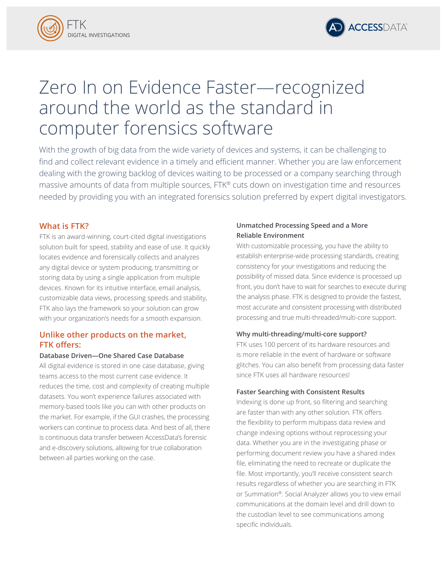



# Zero In on Evidence Faster—recognized around the world as the standard in computer forensics software

With the growth of big data from the wide variety of devices and systems, it can be challenging to find and collect relevant evidence in a timely and efficient manner. Whether you are law enforcement dealing with the growing backlog of devices waiting to be processed or a company searching through massive amounts of data from multiple sources, FTK® cuts down on investigation time and resources needed by providing you with an integrated forensics solution preferred by expert digital investigators.

## **What is FTK?**

FTK is an award-winning, court-cited digital investigations solution built for speed, stability and ease of use. It quickly locates evidence and forensically collects and analyzes any digital device or system producing, transmitting or storing data by using a single application from multiple devices. Known for its intuitive interface, email analysis, customizable data views, processing speeds and stability, FTK also lays the framework so your solution can grow with your organization's needs for a smooth expansion.

## **Unlike other products on the market, FTK offers:**

## **Database Driven—One Shared Case Database**

All digital evidence is stored in one case database, giving teams access to the most current case evidence. It reduces the time, cost and complexity of creating multiple datasets. You won't experience failures associated with memory-based tools like you can with other products on the market. For example, if the GUI crashes, the processing workers can continue to process data. And best of all, there is continuous data transfer between AccessData's forensic and e-discovery solutions, allowing for true collaboration between all parties working on the case.

## **Unmatched Processing Speed and a More Reliable Environment**

With customizable processing, you have the ability to establish enterprise-wide processing standards, creating consistency for your investigations and reducing the possibility of missed data. Since evidence is processed up front, you don't have to wait for searches to execute during the analysis phase. FTK is designed to provide the fastest, most accurate and consistent processing with distributed processing and true multi-threaded/multi-core support.

## **Why multi-threading/multi-core support?**

FTK uses 100 percent of its hardware resources and is more reliable in the event of hardware or software glitches. You can also benefit from processing data faster since FTK uses all hardware resources!

## **Faster Searching with Consistent Results**

Indexing is done up front, so filtering and searching are faster than with any other solution. FTK offers the flexibility to perform multipass data review and change indexing options without reprocessing your data. Whether you are in the investigating phase or performing document review you have a shared index file, eliminating the need to recreate or duplicate the file. Most importantly, you'll receive consistent search results regardless of whether you are searching in FTK or Summation®. Social Analyzer allows you to view email communications at the domain level and drill down to the custodian level to see communications among specific individuals.